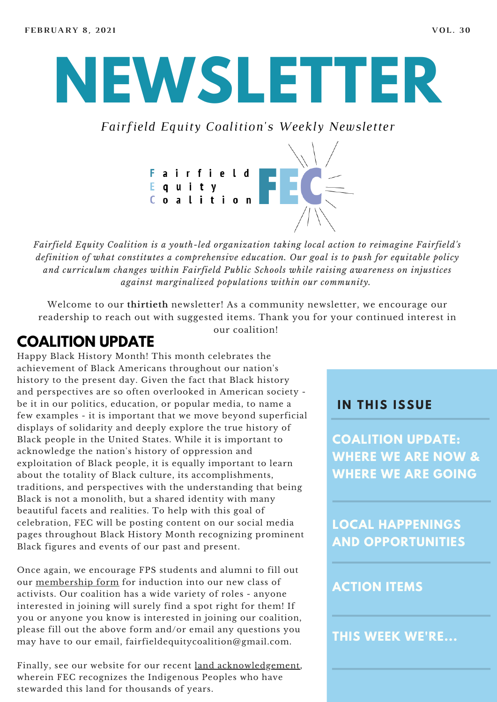# **NEWSLETTER**

*Fairfield Equity Coalition's Weekly Newsletter*



*Fairfield Equity Coalition is a youth-led organization taking local action to reimagine Fairfield's definition of what constitutes a comprehensive education. Our goal is to push for equitable policy and curriculum changes within Fairfield Public Schools while raising awareness on injustices against marginalized populations within our community.*

Welcome to our **thirtieth** newsletter! As a community newsletter, we encourage our readership to reach out with suggested items. Thank you for your continued interest in our coalition!

# **COALITION UPDATE**

Happy Black History Month! This month celebrates the achievement of Black Americans throughout our nation's history to the present day. Given the fact that Black history and perspectives are so often overlooked in American society be it in our politics, education, or popular media, to name a few examples - it is important that we move beyond superficial displays of solidarity and deeply explore the true history of Black people in the United States. While it is important to acknowledge the nation's history of oppression and exploitation of Black people, it is equally important to learn about the totality of Black culture, its accomplishments, traditions, and perspectives with the understanding that being Black is not a monolith, but a shared identity with many beautiful facets and realities. To help with this goal of celebration, FEC will be posting content on our social media pages throughout Black History Month recognizing prominent Black figures and events of our past and present.

Once again, we encourage FPS students and alumni to fill out our [membership](https://www.fairfieldequitycoalition.org/get-involved) form for induction into our new class of activists. Our coalition has a wide variety of roles - anyone interested in joining will surely find a spot right for them! If you or anyone you know is interested in joining our coalition, please fill out the above form and/or email any questions you may have to our email, fairfieldequitycoalition@gmail.com.

Finally, see our website for our recent land [acknowledgement,](https://www.fairfieldequitycoalition.org/land) wherein FEC recognizes the Indigenous Peoples who have stewarded this land for thousands of years.

#### **I N THIS ISSUE**

**COALITION UPDATE: WHERE WE ARE NOW & WHERE WE ARE GOING**

**LOCAL HAPPENINGS AND OPPORTUNITIES**

#### **ACTION ITEMS**

**THIS WEEK WE'RE...**